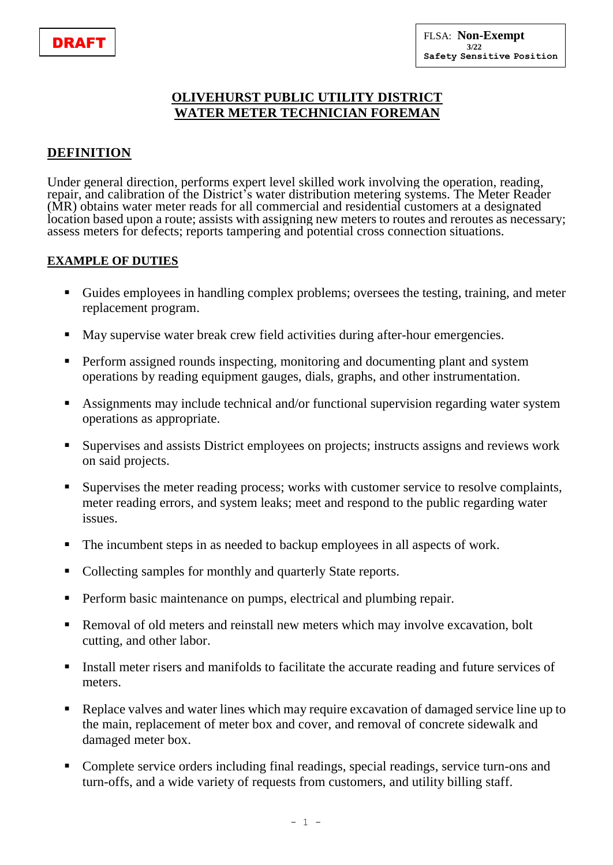### **OLIVEHURST PUBLIC UTILITY DISTRICT WATER METER TECHNICIAN FOREMAN**

### **DEFINITION**

Under general direction, performs expert level skilled work involving the operation, reading, repair, and calibration of the District's water distribution metering systems. The Meter Reader (MR) obtains water meter reads for all commercial and residential customers at a designated location based upon a route; assists with assigning new meters to routes and reroutes as necessary; assess meters for defects; reports tampering and potential cross connection situations.

#### **EXAMPLE OF DUTIES**

- Guides employees in handling complex problems; oversees the testing, training, and meter replacement program.
- May supervise water break crew field activities during after-hour emergencies.
- **Perform assigned rounds inspecting, monitoring and documenting plant and system** operations by reading equipment gauges, dials, graphs, and other instrumentation.
- Assignments may include technical and/or functional supervision regarding water system operations as appropriate.
- Supervises and assists District employees on projects; instructs assigns and reviews work on said projects.
- Supervises the meter reading process; works with customer service to resolve complaints, meter reading errors, and system leaks; meet and respond to the public regarding water issues.
- The incumbent steps in as needed to backup employees in all aspects of work.
- Collecting samples for monthly and quarterly State reports.
- **Perform basic maintenance on pumps, electrical and plumbing repair.**
- Removal of old meters and reinstall new meters which may involve excavation, bolt cutting, and other labor.
- Install meter risers and manifolds to facilitate the accurate reading and future services of meters.
- Replace valves and water lines which may require excavation of damaged service line up to the main, replacement of meter box and cover, and removal of concrete sidewalk and damaged meter box.
- Complete service orders including final readings, special readings, service turn-ons and turn-offs, and a wide variety of requests from customers, and utility billing staff.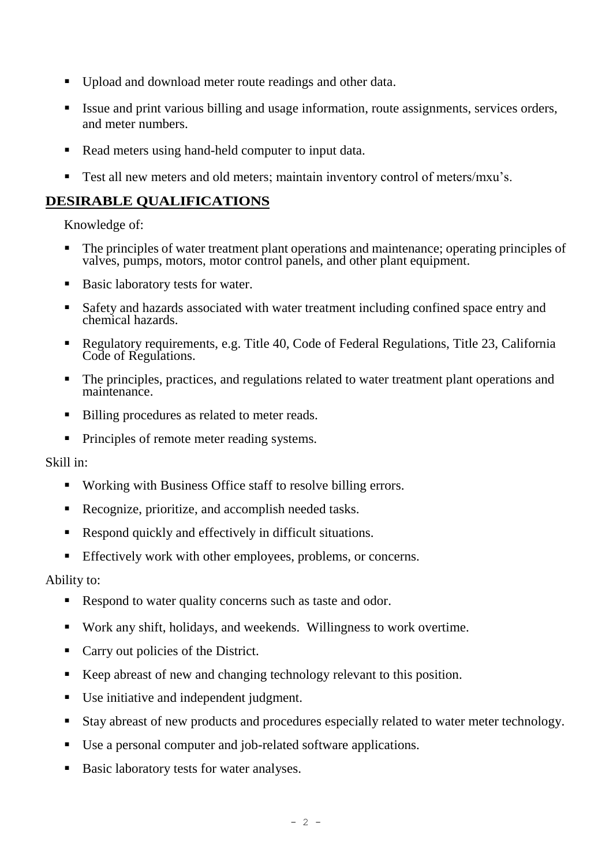- Upload and download meter route readings and other data.
- Issue and print various billing and usage information, route assignments, services orders, and meter numbers.
- Read meters using hand-held computer to input data.
- Test all new meters and old meters; maintain inventory control of meters/mxu's.

### **DESIRABLE QUALIFICATIONS**

Knowledge of:

- The principles of water treatment plant operations and maintenance; operating principles of valves, pumps, motors, motor control panels, and other plant equipment.
- Basic laboratory tests for water.
- Safety and hazards associated with water treatment including confined space entry and chemical hazards.
- Regulatory requirements, e.g. Title 40, Code of Federal Regulations, Title 23, California Code of Regulations.
- The principles, practices, and regulations related to water treatment plant operations and maintenance.
- Billing procedures as related to meter reads.
- **Principles of remote meter reading systems.**

Skill in:

- Working with Business Office staff to resolve billing errors.
- Recognize, prioritize, and accomplish needed tasks.
- Respond quickly and effectively in difficult situations.
- Effectively work with other employees, problems, or concerns.

Ability to:

- Respond to water quality concerns such as taste and odor.
- Work any shift, holidays, and weekends. Willingness to work overtime.
- Carry out policies of the District.
- Keep abreast of new and changing technology relevant to this position.
- Use initiative and independent judgment.
- Stay abreast of new products and procedures especially related to water meter technology.
- Use a personal computer and job-related software applications.
- Basic laboratory tests for water analyses.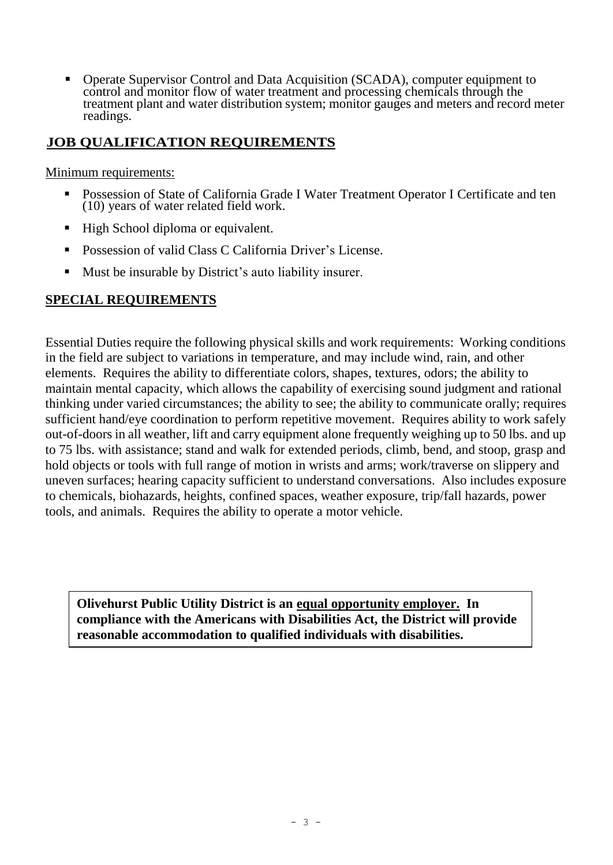Operate Supervisor Control and Data Acquisition (SCADA), computer equipment to control and monitor flow of water treatment and processing chemicals through the treatment plant and water distribution system; monitor gauges and meters and record meter readings.

## **JOB QUALIFICATION REQUIREMENTS**

Minimum requirements:

- Possession of State of California Grade I Water Treatment Operator I Certificate and ten (10) years of water related field work.
- High School diploma or equivalent.
- **Possession of valid Class C California Driver's License.**
- Must be insurable by District's auto liability insurer.

#### **SPECIAL REQUIREMENTS**

Essential Duties require the following physical skills and work requirements: Working conditions in the field are subject to variations in temperature, and may include wind, rain, and other elements. Requires the ability to differentiate colors, shapes, textures, odors; the ability to maintain mental capacity, which allows the capability of exercising sound judgment and rational thinking under varied circumstances; the ability to see; the ability to communicate orally; requires sufficient hand/eye coordination to perform repetitive movement. Requires ability to work safely out-of-doors in all weather, lift and carry equipment alone frequently weighing up to 50 lbs. and up to 75 lbs. with assistance; stand and walk for extended periods, climb, bend, and stoop, grasp and hold objects or tools with full range of motion in wrists and arms; work/traverse on slippery and uneven surfaces; hearing capacity sufficient to understand conversations. Also includes exposure to chemicals, biohazards, heights, confined spaces, weather exposure, trip/fall hazards, power tools, and animals. Requires the ability to operate a motor vehicle.

**Olivehurst Public Utility District is an equal opportunity employer. In compliance with the Americans with Disabilities Act, the District will provide reasonable accommodation to qualified individuals with disabilities.**